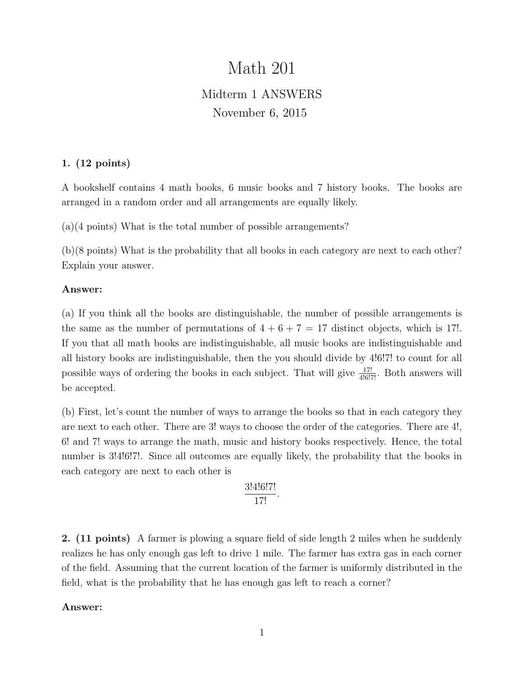# Math 201 Midterm 1 ANSWERS November 6, 2015

# 1. (12 points)

A bookshelf contains 4 math books, 6 music books and 7 history books. The books are arranged in a random order and all arrangements are equally likely.

(a)(4 points) What is the total number of possible arrangements?

(b)(8 points) What is the probability that all books in each category are next to each other? Explain your answer.

## Answer:

(a) If you think all the books are distinguishable, the number of possible arrangements is the same as the number of permutations of  $4 + 6 + 7 = 17$  distinct objects, which is 17!. If you that all math books are indistinguishable, all music books are indistinguishable and all history books are indistinguishable, then the you should divide by 4!6!7! to count for all possible ways of ordering the books in each subject. That will give  $\frac{17!}{4!6!7!}$ . Both answers will be accepted.

(b) First, let's count the number of ways to arrange the books so that in each category they are next to each other. There are 3! ways to choose the order of the categories. There are 4!, 6! and 7! ways to arrange the math, music and history books respectively. Hence, the total number is 3.4.16.17. Since all outcomes are equally likely, the probability that the books in each category are next to each other is

$$
\frac{3!4!6!7!}{17!}.
$$

2. (11 points) A farmer is plowing a square field of side length 2 miles when he suddenly realizes he has only enough gas left to drive 1 mile. The farmer has extra gas in each corner of the field. Assuming that the current location of the farmer is uniformly distributed in the field, what is the probability that he has enough gas left to reach a corner?

## Answer: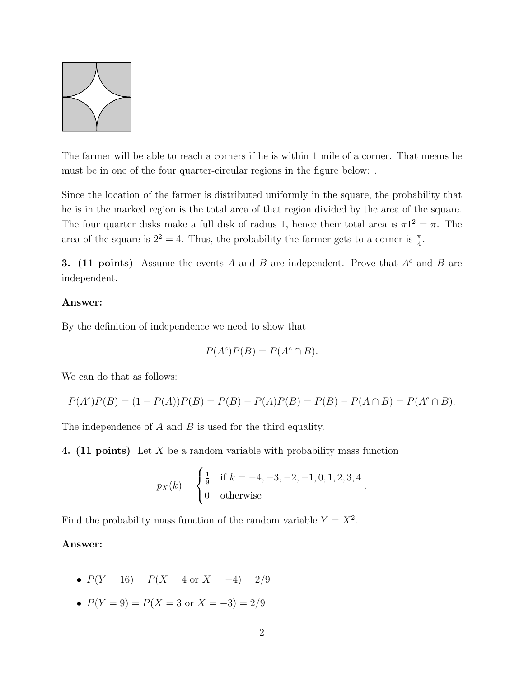

The farmer will be able to reach a corners if he is within 1 mile of a corner. That means he must be in one of the four quarter-circular regions in the figure below: .

Since the location of the farmer is distributed uniformly in the square, the probability that he is in the marked region is the total area of that region divided by the area of the square. The four quarter disks make a full disk of radius 1, hence their total area is  $\pi 1^2 = \pi$ . The area of the square is  $2^2 = 4$ . Thus, the probability the farmer gets to a corner is  $\frac{\pi}{4}$ .

3. (11 points) Assume the events A and B are independent. Prove that  $A<sup>c</sup>$  and B are independent.

## Answer:

By the definition of independence we need to show that

$$
P(A^c)P(B) = P(A^c \cap B).
$$

We can do that as follows:

$$
P(Ac)P(B) = (1 - P(A))P(B) = P(B) - P(A)P(B) = P(B) - P(A \cap B) = P(Ac \cap B).
$$

The independence of A and B is used for the third equality.

4. (11 points) Let X be a random variable with probability mass function

$$
p_X(k) = \begin{cases} \frac{1}{9} & \text{if } k = -4, -3, -2, -1, 0, 1, 2, 3, 4 \\ 0 & \text{otherwise} \end{cases}.
$$

Find the probability mass function of the random variable  $Y = X^2$ .

#### Answer:

- $P(Y = 16) = P(X = 4 \text{ or } X = -4) = 2/9$
- $P(Y = 9) = P(X = 3 \text{ or } X = -3) = 2/9$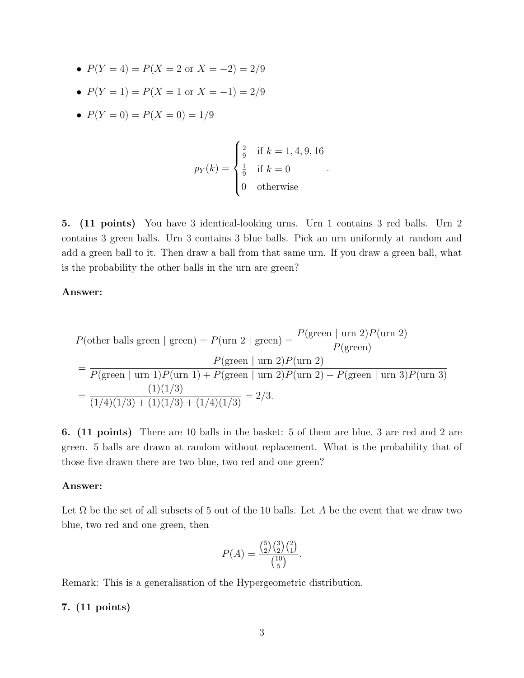- $P(Y = 4) = P(X = 2 \text{ or } X = -2) = 2/9$
- $P(Y = 1) = P(X = 1 \text{ or } X = -1) = 2/9$
- $P(Y = 0) = P(X = 0) = 1/9$

$$
p_Y(k) = \begin{cases} \frac{2}{9} & \text{if } k = 1, 4, 9, 16\\ \frac{1}{9} & \text{if } k = 0\\ 0 & \text{otherwise} \end{cases}
$$

.

5. (11 points) You have 3 identical-looking urns. Urn 1 contains 3 red balls. Urn 2 contains 3 green balls. Urn 3 contains 3 blue balls. Pick an urn uniformly at random and add a green ball to it. Then draw a ball from that same urn. If you draw a green ball, what is the probability the other balls in the urn are green?

## Answer:

$$
P(\text{other balls green} \mid \text{green}) = P(\text{urn 2} \mid \text{green}) = \frac{P(\text{green} \mid \text{urn 2})P(\text{urn 2})}{P(\text{green})}
$$

$$
= \frac{P(\text{green} \mid \text{urn 2})P(\text{urn 2})}{P(\text{green} \mid \text{urn 1})P(\text{urn 1}) + P(\text{green} \mid \text{urn 2})P(\text{urn 2}) + P(\text{green} \mid \text{urn 3})P(\text{urn 3})}
$$

$$
= \frac{(1)(1/3)}{(1/4)(1/3) + (1)(1/3) + (1/4)(1/3)} = 2/3.
$$

6. (11 points) There are 10 balls in the basket: 5 of them are blue, 3 are red and 2 are green. 5 balls are drawn at random without replacement. What is the probability that of those five drawn there are two blue, two red and one green?

## Answer:

Let  $\Omega$  be the set of all subsets of 5 out of the 10 balls. Let A be the event that we draw two blue, two red and one green, then

$$
P(A) = \frac{\binom{5}{2}\binom{3}{2}\binom{2}{1}}{\binom{10}{5}}.
$$

Remark: This is a generalisation of the Hypergeometric distribution.

# 7. (11 points)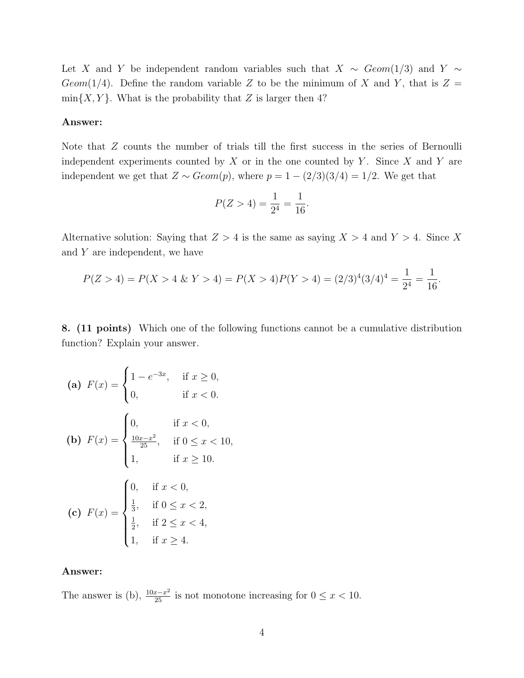Let X and Y be independent random variables such that  $X \sim Geom(1/3)$  and Y ∼ Geom(1/4). Define the random variable Z to be the minimum of X and Y, that is  $Z =$  $min{X, Y}$ . What is the probability that Z is larger then 4?

#### Answer:

Note that Z counts the number of trials till the first success in the series of Bernoulli independent experiments counted by  $X$  or in the one counted by  $Y$ . Since  $X$  and  $Y$  are independent we get that  $Z \sim Geom(p)$ , where  $p = 1 - (2/3)(3/4) = 1/2$ . We get that

$$
P(Z > 4) = \frac{1}{2^4} = \frac{1}{16}.
$$

Alternative solution: Saying that  $Z > 4$  is the same as saying  $X > 4$  and  $Y > 4$ . Since X and Y are independent, we have

$$
P(Z > 4) = P(X > 4 \& Y > 4) = P(X > 4)P(Y > 4) = (2/3)^4(3/4)^4 = \frac{1}{2^4} = \frac{1}{16}.
$$

8. (11 points) Which one of the following functions cannot be a cumulative distribution function? Explain your answer.

(a) 
$$
F(x) = \begin{cases} 1 - e^{-3x}, & \text{if } x \ge 0, \\ 0, & \text{if } x < 0. \end{cases}
$$
  
\n(b)  $F(x) = \begin{cases} 0, & \text{if } x < 0, \\ \frac{10x - x^2}{25}, & \text{if } 0 \le x < 10, \\ 1, & \text{if } x \ge 10. \end{cases}$   
\n(c)  $F(x) = \begin{cases} 0, & \text{if } x < 0, \\ \frac{1}{3}, & \text{if } 0 \le x < 2, \\ \frac{1}{2}, & \text{if } 2 \le x < 4, \\ 1, & \text{if } x \ge 4. \end{cases}$ 

#### Answer:

The answer is (b),  $\frac{10x-x^2}{25}$  is not monotone increasing for  $0 \le x < 10$ .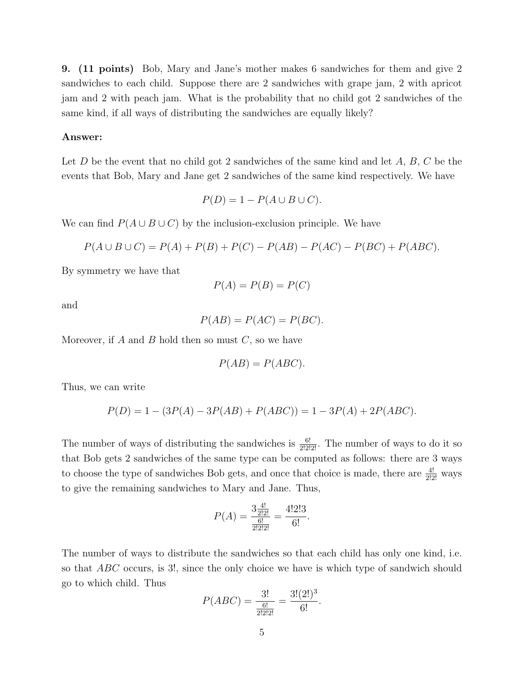9. (11 points) Bob, Mary and Jane's mother makes 6 sandwiches for them and give 2 sandwiches to each child. Suppose there are 2 sandwiches with grape jam, 2 with apricot jam and 2 with peach jam. What is the probability that no child got 2 sandwiches of the same kind, if all ways of distributing the sandwiches are equally likely?

#### Answer:

Let D be the event that no child got 2 sandwiches of the same kind and let  $A, B, C$  be the events that Bob, Mary and Jane get 2 sandwiches of the same kind respectively. We have

$$
P(D) = 1 - P(A \cup B \cup C).
$$

We can find  $P(A \cup B \cup C)$  by the inclusion-exclusion principle. We have

$$
P(A \cup B \cup C) = P(A) + P(B) + P(C) - P(AB) - P(AC) - P(BC) + P(ABC).
$$

By symmetry we have that

$$
P(A) = P(B) = P(C)
$$

and

$$
P(AB) = P(AC) = P(BC).
$$

Moreover, if A and B hold then so must  $C$ , so we have

$$
P(AB) = P(ABC).
$$

Thus, we can write

$$
P(D) = 1 - (3P(A) - 3P(AB) + P(ABC)) = 1 - 3P(A) + 2P(ABC).
$$

The number of ways of distributing the sandwiches is  $\frac{6!}{2!2!2!}$ . The number of ways to do it so that Bob gets 2 sandwiches of the same type can be computed as follows: there are 3 ways to choose the type of sandwiches Bob gets, and once that choice is made, there are  $\frac{4!}{2!2!}$  ways to give the remaining sandwiches to Mary and Jane. Thus,

$$
P(A) = \frac{3\frac{4!}{2!2!}}{\frac{6!}{2!2!2!}} = \frac{4!2!3}{6!}.
$$

The number of ways to distribute the sandwiches so that each child has only one kind, i.e. so that ABC occurs, is 3!, since the only choice we have is which type of sandwich should go to which child. Thus

$$
P(ABC) = \frac{3!}{\frac{6!}{2!2!2!}} = \frac{3!(2!)^3}{6!}.
$$